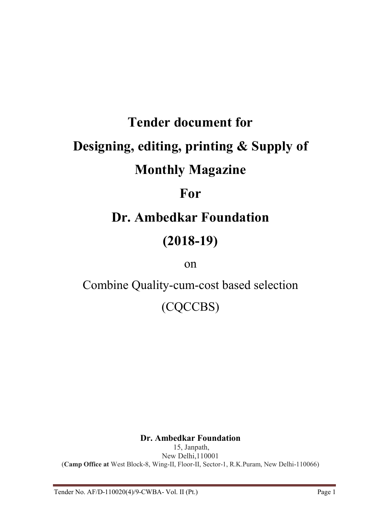# Tender document for Designing, editing, printing & Supply of Monthly Magazine

### For

## Dr. Ambedkar Foundation

### (2018-19)

### on

Combine Quality-cum-cost based selection

(CQCCBS)

#### Dr. Ambedkar Foundation

15, Janpath, New Delhi,110001 (Camp Office at West Block-8, Wing-II, Floor-II, Sector-1, R.K.Puram, New Delhi-110066)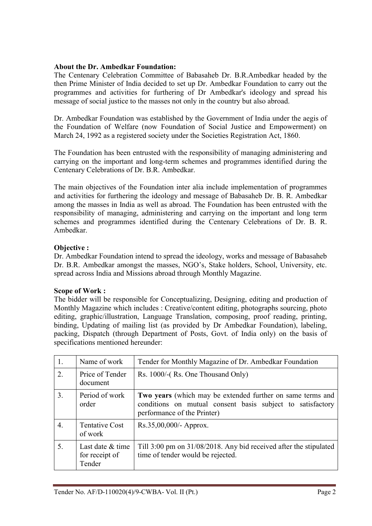#### About the Dr. Ambedkar Foundation:

The Centenary Celebration Committee of Babasaheb Dr. B.R.Ambedkar headed by the then Prime Minister of India decided to set up Dr. Ambedkar Foundation to carry out the programmes and activities for furthering of Dr Ambedkar's ideology and spread his message of social justice to the masses not only in the country but also abroad.

Dr. Ambedkar Foundation was established by the Government of India under the aegis of the Foundation of Welfare (now Foundation of Social Justice and Empowerment) on March 24, 1992 as a registered society under the Societies Registration Act, 1860.

The Foundation has been entrusted with the responsibility of managing administering and carrying on the important and long-term schemes and programmes identified during the Centenary Celebrations of Dr. B.R. Ambedkar.

The main objectives of the Foundation inter alia include implementation of programmes and activities for furthering the ideology and message of Babasaheb Dr. B. R. Ambedkar among the masses in India as well as abroad. The Foundation has been entrusted with the responsibility of managing, administering and carrying on the important and long term schemes and programmes identified during the Centenary Celebrations of Dr. B. R. Ambedkar.

#### Objective :

Dr. Ambedkar Foundation intend to spread the ideology, works and message of Babasaheb Dr. B.R. Ambedkar amongst the masses, NGO's, Stake holders, School, University, etc. spread across India and Missions abroad through Monthly Magazine.

#### Scope of Work :

The bidder will be responsible for Conceptualizing, Designing, editing and production of Monthly Magazine which includes : Creative/content editing, photographs sourcing, photo editing, graphic/illustration, Language Translation, composing, proof reading, printing, binding, Updating of mailing list (as provided by Dr Ambedkar Foundation), labeling, packing, Dispatch (through Department of Posts, Govt. of India only) on the basis of specifications mentioned hereunder:

| 1. | Name of work                                 | Tender for Monthly Magazine of Dr. Ambedkar Foundation                                                                                                  |  |  |  |
|----|----------------------------------------------|---------------------------------------------------------------------------------------------------------------------------------------------------------|--|--|--|
| 2. | Price of Tender<br>document                  | Rs. 1000/-(Rs. One Thousand Only)                                                                                                                       |  |  |  |
| 3. | Period of work<br>order                      | Two years (which may be extended further on same terms and<br>conditions on mutual consent basis subject to satisfactory<br>performance of the Printer) |  |  |  |
| 4. | <b>Tentative Cost</b><br>of work             | $Rs.35,00,000/4$ - Approx.                                                                                                                              |  |  |  |
| 5. | Last date & time<br>for receipt of<br>Tender | Till 3:00 pm on 31/08/2018. Any bid received after the stipulated<br>time of tender would be rejected.                                                  |  |  |  |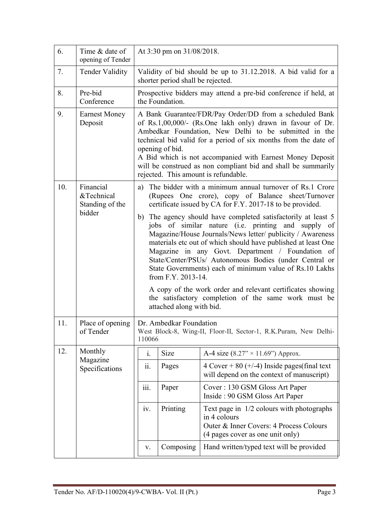| 6.  | Time & date of<br>opening of Tender        | At 3:30 pm on 31/08/2018.                                                                                                                                                                                                                                                                                                                                                                                                                                                                                                                                                                            |                                                                                                                                                                                                                                                                                                                                                                                                                                            |                                                                                                                                                                               |  |  |
|-----|--------------------------------------------|------------------------------------------------------------------------------------------------------------------------------------------------------------------------------------------------------------------------------------------------------------------------------------------------------------------------------------------------------------------------------------------------------------------------------------------------------------------------------------------------------------------------------------------------------------------------------------------------------|--------------------------------------------------------------------------------------------------------------------------------------------------------------------------------------------------------------------------------------------------------------------------------------------------------------------------------------------------------------------------------------------------------------------------------------------|-------------------------------------------------------------------------------------------------------------------------------------------------------------------------------|--|--|
| 7.  | <b>Tender Validity</b>                     | Validity of bid should be up to 31.12.2018. A bid valid for a<br>shorter period shall be rejected.                                                                                                                                                                                                                                                                                                                                                                                                                                                                                                   |                                                                                                                                                                                                                                                                                                                                                                                                                                            |                                                                                                                                                                               |  |  |
| 8.  | Pre-bid<br>Conference                      |                                                                                                                                                                                                                                                                                                                                                                                                                                                                                                                                                                                                      | the Foundation.                                                                                                                                                                                                                                                                                                                                                                                                                            | Prospective bidders may attend a pre-bid conference if held, at                                                                                                               |  |  |
| 9.  | <b>Earnest Money</b><br>Deposit            |                                                                                                                                                                                                                                                                                                                                                                                                                                                                                                                                                                                                      | A Bank Guarantee/FDR/Pay Order/DD from a scheduled Bank<br>of Rs.1,00,000/- (Rs.One lakh only) drawn in favour of Dr.<br>Ambedkar Foundation, New Delhi to be submitted in the<br>technical bid valid for a period of six months from the date of<br>opening of bid.<br>A Bid which is not accompanied with Earnest Money Deposit<br>will be construed as non compliant bid and shall be summarily<br>rejected. This amount is refundable. |                                                                                                                                                                               |  |  |
| 10. | Financial<br>&Technical<br>Standing of the |                                                                                                                                                                                                                                                                                                                                                                                                                                                                                                                                                                                                      |                                                                                                                                                                                                                                                                                                                                                                                                                                            | a) The bidder with a minimum annual turnover of Rs.1 Crore<br>(Rupees One crore), copy of Balance sheet/Turnover<br>certificate issued by CA for F.Y. 2017-18 to be provided. |  |  |
|     | bidder                                     | b) The agency should have completed satisfactorily at least 5<br>jobs of similar nature (i.e. printing and supply of<br>Magazine/House Journals/News letter/ publicity / Awareness<br>materials etc out of which should have published at least One<br>Magazine in any Govt. Department / Foundation of<br>State/Center/PSUs/ Autonomous Bodies (under Central or<br>State Governments) each of minimum value of Rs.10 Lakhs<br>from F.Y. 2013-14.<br>A copy of the work order and relevant certificates showing<br>the satisfactory completion of the same work must be<br>attached along with bid. |                                                                                                                                                                                                                                                                                                                                                                                                                                            |                                                                                                                                                                               |  |  |
| 11. | Place of opening<br>of Tender              | 110066                                                                                                                                                                                                                                                                                                                                                                                                                                                                                                                                                                                               | Dr. Ambedkar Foundation                                                                                                                                                                                                                                                                                                                                                                                                                    | West Block-8, Wing-II, Floor-II, Sector-1, R.K.Puram, New Delhi-                                                                                                              |  |  |
| 12. | Monthly                                    | i.                                                                                                                                                                                                                                                                                                                                                                                                                                                                                                                                                                                                   | Size                                                                                                                                                                                                                                                                                                                                                                                                                                       | A-4 size $(8.27" \times 11.69")$ Approx.                                                                                                                                      |  |  |
|     | Magazine<br>Specifications                 | ii.                                                                                                                                                                                                                                                                                                                                                                                                                                                                                                                                                                                                  | Pages                                                                                                                                                                                                                                                                                                                                                                                                                                      | $4 \text{ Cover} + 80 (+/-4)$ Inside pages (final text<br>will depend on the context of manuscript)                                                                           |  |  |
|     |                                            | iii.                                                                                                                                                                                                                                                                                                                                                                                                                                                                                                                                                                                                 | Paper                                                                                                                                                                                                                                                                                                                                                                                                                                      | Cover: 130 GSM Gloss Art Paper<br>Inside: 90 GSM Gloss Art Paper                                                                                                              |  |  |
|     |                                            | iv.                                                                                                                                                                                                                                                                                                                                                                                                                                                                                                                                                                                                  | Printing                                                                                                                                                                                                                                                                                                                                                                                                                                   | Text page in $1/2$ colours with photographs<br>in 4 colours<br>Outer & Inner Covers: 4 Process Colours<br>(4 pages cover as one unit only)                                    |  |  |
|     |                                            | V.                                                                                                                                                                                                                                                                                                                                                                                                                                                                                                                                                                                                   | Composing                                                                                                                                                                                                                                                                                                                                                                                                                                  | Hand written/typed text will be provided                                                                                                                                      |  |  |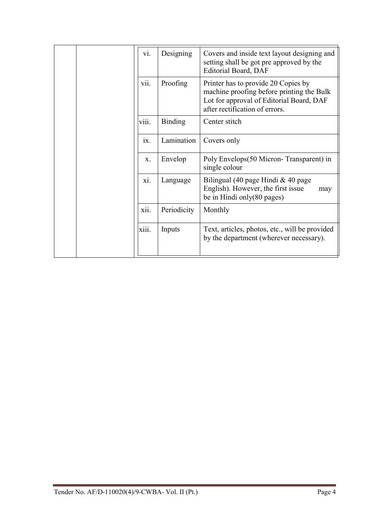|  | V1.      | Designing      | Covers and inside text layout designing and<br>setting shall be got pre approved by the<br>Editorial Board, DAF                                                |
|--|----------|----------------|----------------------------------------------------------------------------------------------------------------------------------------------------------------|
|  | vii.     | Proofing       | Printer has to provide 20 Copies by<br>machine proofing before printing the Bulk<br>Lot for approval of Editorial Board, DAF<br>after rectification of errors. |
|  | viii.    | <b>Binding</b> | Center stitch                                                                                                                                                  |
|  | $1X_{-}$ | Lamination     | Covers only                                                                                                                                                    |
|  | $X_{-}$  | Envelop        | Poly Envelops (50 Micron-Transparent) in<br>single colour                                                                                                      |
|  | X1.      | Language       | Bilingual (40 page Hindi & 40 page<br>English). However, the first issue<br>may<br>be in Hindi only $(80 \text{ pages})$                                       |
|  | xii.     | Periodicity    | Monthly                                                                                                                                                        |
|  | xiii.    | Inputs         | Text, articles, photos, etc., will be provided<br>by the department (wherever necessary).                                                                      |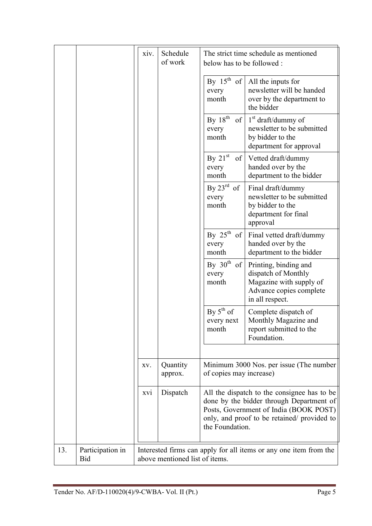|     |                         | xiv. | Schedule<br>of work            | The strict time schedule as mentioned<br>below has to be followed: |                                                                                                                                                                                  |  |  |
|-----|-------------------------|------|--------------------------------|--------------------------------------------------------------------|----------------------------------------------------------------------------------------------------------------------------------------------------------------------------------|--|--|
|     |                         |      |                                | By $15^{\text{th}}$ of<br>every<br>month                           | All the inputs for<br>newsletter will be handed<br>over by the department to<br>the bidder                                                                                       |  |  |
|     |                         |      |                                | By $18^{th}$<br>of<br>every<br>month                               | $1st$ draft/dummy of<br>newsletter to be submitted<br>by bidder to the<br>department for approval                                                                                |  |  |
|     |                         |      |                                | By $21st$<br>of<br>every<br>month                                  | Vetted draft/dummy<br>handed over by the<br>department to the bidder                                                                                                             |  |  |
|     |                         |      |                                | By $23^{\text{rd}}$<br>of<br>every<br>month                        | Final draft/dummy<br>newsletter to be submitted<br>by bidder to the<br>department for final<br>approval                                                                          |  |  |
|     |                         |      |                                | By $25^{th}$<br>of<br>every<br>month                               | Final vetted draft/dummy<br>handed over by the<br>department to the bidder                                                                                                       |  |  |
|     |                         |      |                                | By $30th$<br>of<br>every<br>month                                  | Printing, binding and<br>dispatch of Monthly<br>Magazine with supply of<br>Advance copies complete<br>in all respect.                                                            |  |  |
|     |                         |      |                                | By $5^{th}$ of<br>every next<br>month                              | Complete dispatch of<br>Monthly Magazine and<br>report submitted to the<br>Foundation.                                                                                           |  |  |
|     |                         |      |                                |                                                                    |                                                                                                                                                                                  |  |  |
|     |                         | XV.  | Quantity<br>approx.            | of copies may increase)                                            | Minimum 3000 Nos. per issue (The number                                                                                                                                          |  |  |
|     |                         | XV1  | Dispatch                       | the Foundation.                                                    | All the dispatch to the consignee has to be<br>done by the bidder through Department of<br>Posts, Government of India (BOOK POST)<br>only, and proof to be retained/ provided to |  |  |
| 13. | Participation in<br>Bid |      | above mentioned list of items. | Interested firms can apply for all items or any one item from the  |                                                                                                                                                                                  |  |  |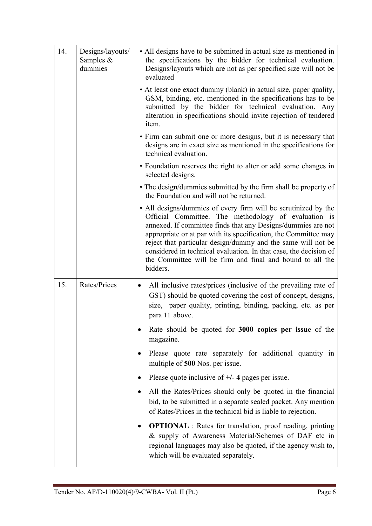| 14. | Designs/layouts/<br>Samples $&$<br>dummies | • All designs have to be submitted in actual size as mentioned in<br>the specifications by the bidder for technical evaluation.<br>Designs/layouts which are not as per specified size will not be<br>evaluated                                                                                                                                                                                                                                                         |  |  |
|-----|--------------------------------------------|-------------------------------------------------------------------------------------------------------------------------------------------------------------------------------------------------------------------------------------------------------------------------------------------------------------------------------------------------------------------------------------------------------------------------------------------------------------------------|--|--|
|     |                                            | • At least one exact dummy (blank) in actual size, paper quality,<br>GSM, binding, etc. mentioned in the specifications has to be<br>submitted by the bidder for technical evaluation. Any<br>alteration in specifications should invite rejection of tendered<br>item.                                                                                                                                                                                                 |  |  |
|     |                                            | • Firm can submit one or more designs, but it is necessary that<br>designs are in exact size as mentioned in the specifications for<br>technical evaluation.                                                                                                                                                                                                                                                                                                            |  |  |
|     |                                            | • Foundation reserves the right to alter or add some changes in<br>selected designs.                                                                                                                                                                                                                                                                                                                                                                                    |  |  |
|     |                                            | • The design/dummies submitted by the firm shall be property of<br>the Foundation and will not be returned.                                                                                                                                                                                                                                                                                                                                                             |  |  |
|     |                                            | • All designs/dummies of every firm will be scrutinized by the<br>Official Committee. The methodology of evaluation is<br>annexed. If committee finds that any Designs/dummies are not<br>appropriate or at par with its specification, the Committee may<br>reject that particular design/dummy and the same will not be<br>considered in technical evaluation. In that case, the decision of<br>the Committee will be firm and final and bound to all the<br>bidders. |  |  |
| 15. | Rates/Prices                               | All inclusive rates/prices (inclusive of the prevailing rate of<br>$\bullet$<br>GST) should be quoted covering the cost of concept, designs,<br>size, paper quality, printing, binding, packing, etc. as per<br>para 11 above.                                                                                                                                                                                                                                          |  |  |
|     |                                            | Rate should be quoted for 3000 copies per issue of the<br>magazine.                                                                                                                                                                                                                                                                                                                                                                                                     |  |  |
|     |                                            | Please quote rate separately for additional quantity in<br>$\bullet$<br>multiple of 500 Nos. per issue.                                                                                                                                                                                                                                                                                                                                                                 |  |  |
|     |                                            | Please quote inclusive of $+/- 4$ pages per issue.<br>$\bullet$                                                                                                                                                                                                                                                                                                                                                                                                         |  |  |
|     |                                            | All the Rates/Prices should only be quoted in the financial<br>٠<br>bid, to be submitted in a separate sealed packet. Any mention<br>of Rates/Prices in the technical bid is liable to rejection.                                                                                                                                                                                                                                                                       |  |  |
|     |                                            | <b>OPTIONAL</b> : Rates for translation, proof reading, printing<br>٠<br>& supply of Awareness Material/Schemes of DAF etc in<br>regional languages may also be quoted, if the agency wish to,<br>which will be evaluated separately.                                                                                                                                                                                                                                   |  |  |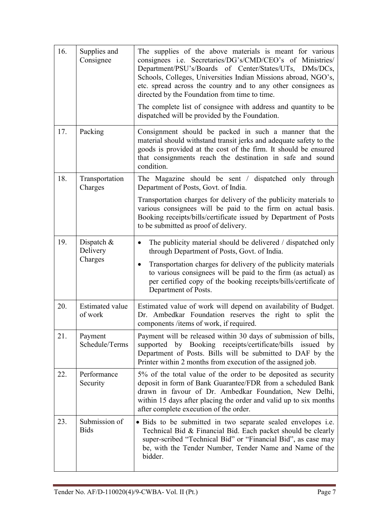| 16. | Supplies and<br>Consignee         | The supplies of the above materials is meant for various<br>consignees i.e. Secretaries/DG's/CMD/CEO's of Ministries/<br>Department/PSU's/Boards of Center/States/UTs, DMs/DCs,<br>Schools, Colleges, Universities Indian Missions abroad, NGO's,<br>etc. spread across the country and to any other consignees as<br>directed by the Foundation from time to time. |  |  |  |
|-----|-----------------------------------|---------------------------------------------------------------------------------------------------------------------------------------------------------------------------------------------------------------------------------------------------------------------------------------------------------------------------------------------------------------------|--|--|--|
|     |                                   | The complete list of consignee with address and quantity to be<br>dispatched will be provided by the Foundation.                                                                                                                                                                                                                                                    |  |  |  |
| 17. | Packing                           | Consignment should be packed in such a manner that the<br>material should withstand transit jerks and adequate safety to the<br>goods is provided at the cost of the firm. It should be ensured<br>that consignments reach the destination in safe and sound<br>condition.                                                                                          |  |  |  |
| 18. | Transportation<br>Charges         | The Magazine should be sent / dispatched only through<br>Department of Posts, Govt. of India.                                                                                                                                                                                                                                                                       |  |  |  |
|     |                                   | Transportation charges for delivery of the publicity materials to<br>various consignees will be paid to the firm on actual basis.<br>Booking receipts/bills/certificate issued by Department of Posts<br>to be submitted as proof of delivery.                                                                                                                      |  |  |  |
| 19. | Dispatch $\&$<br>Delivery         | The publicity material should be delivered / dispatched only<br>$\bullet$<br>through Department of Posts, Govt. of India.                                                                                                                                                                                                                                           |  |  |  |
|     | Charges                           | Transportation charges for delivery of the publicity materials<br>٠<br>to various consignees will be paid to the firm (as actual) as<br>per certified copy of the booking receipts/bills/certificate of<br>Department of Posts.                                                                                                                                     |  |  |  |
| 20. | <b>Estimated value</b><br>of work | Estimated value of work will depend on availability of Budget.<br>Dr. Ambedkar Foundation reserves the right to split the<br>components /items of work, if required.                                                                                                                                                                                                |  |  |  |
| 21. | Payment<br>Schedule/Terms         | Payment will be released within 30 days of submission of bills,<br>supported by Booking receipts/certificate/bills<br>issued<br>by<br>Department of Posts. Bills will be submitted to DAF by the<br>Printer within 2 months from execution of the assigned job.                                                                                                     |  |  |  |
| 22. | Performance<br>Security           | 5% of the total value of the order to be deposited as security<br>deposit in form of Bank Guarantee/FDR from a scheduled Bank<br>drawn in favour of Dr. Ambedkar Foundation, New Delhi,<br>within 15 days after placing the order and valid up to six months<br>after complete execution of the order.                                                              |  |  |  |
| 23. | Submission of<br><b>Bids</b>      | • Bids to be submitted in two separate sealed envelopes <i>i.e.</i><br>Technical Bid & Financial Bid. Each packet should be clearly<br>super-scribed "Technical Bid" or "Financial Bid", as case may<br>be, with the Tender Number, Tender Name and Name of the<br>bidder.                                                                                          |  |  |  |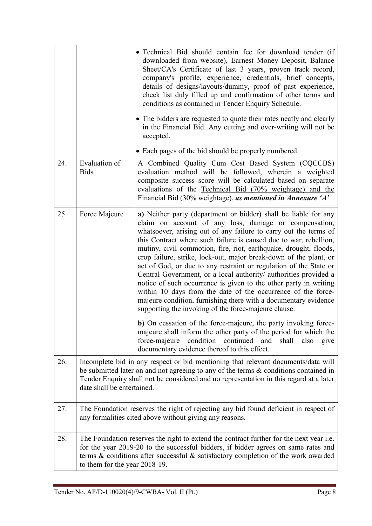|     |                                                                                                                                                                                                                                                                                                      | · Technical Bid should contain fee for download tender (if<br>downloaded from website), Earnest Money Deposit, Balance<br>Sheet/CA's Certificate of last 3 years, proven track record,<br>company's profile, experience, credentials, brief concepts,<br>details of designs/layouts/dummy, proof of past experience,<br>check list duly filled up and confirmation of other terms and<br>conditions as contained in Tender Enquiry Schedule.<br>• The bidders are requested to quote their rates neatly and clearly<br>in the Financial Bid. Any cutting and over-writing will not be<br>accepted.<br>• Each pages of the bid should be properly numbered.                                                                                                                                                                                                                                                                                                                                                                                                                         |  |  |  |
|-----|------------------------------------------------------------------------------------------------------------------------------------------------------------------------------------------------------------------------------------------------------------------------------------------------------|------------------------------------------------------------------------------------------------------------------------------------------------------------------------------------------------------------------------------------------------------------------------------------------------------------------------------------------------------------------------------------------------------------------------------------------------------------------------------------------------------------------------------------------------------------------------------------------------------------------------------------------------------------------------------------------------------------------------------------------------------------------------------------------------------------------------------------------------------------------------------------------------------------------------------------------------------------------------------------------------------------------------------------------------------------------------------------|--|--|--|
| 24. | Evaluation of<br><b>Bids</b>                                                                                                                                                                                                                                                                         | A Combined Quality Cum Cost Based System (CQCCBS)<br>evaluation method will be followed, wherein a weighted<br>composite success score will be calculated based on separate<br>evaluations of the Technical Bid (70% weightage) and the<br>Financial Bid (30% weightage), as mentioned in Annexure 'A'                                                                                                                                                                                                                                                                                                                                                                                                                                                                                                                                                                                                                                                                                                                                                                             |  |  |  |
| 25. | Force Majeure                                                                                                                                                                                                                                                                                        | a) Neither party (department or bidder) shall be liable for any<br>claim on account of any loss, damage or compensation,<br>whatsoever, arising out of any failure to carry out the terms of<br>this Contract where such failure is caused due to war, rebellion,<br>mutiny, civil commotion, fire, riot, earthquake, drought, floods,<br>crop failure, strike, lock-out, major break-down of the plant, or<br>act of God, or due to any restraint or regulation of the State or<br>Central Government, or a local authority/ authorities provided a<br>notice of such occurrence is given to the other party in writing<br>within 10 days from the date of the occurrence of the force-<br>majeure condition, furnishing there with a documentary evidence<br>supporting the invoking of the force-majeure clause.<br>b) On cessation of the force-majeure, the party invoking force-<br>majeure shall inform the other party of the period for which the<br>force-majeure condition<br>continued<br>and<br>shall<br>also<br>give<br>documentary evidence thereof to this effect. |  |  |  |
| 26. | Incomplete bid in any respect or bid mentioning that relevant documents/data will<br>be submitted later on and not agreeing to any of the terms $\&$ conditions contained in<br>Tender Enquiry shall not be considered and no representation in this regard at a later<br>date shall be entertained. |                                                                                                                                                                                                                                                                                                                                                                                                                                                                                                                                                                                                                                                                                                                                                                                                                                                                                                                                                                                                                                                                                    |  |  |  |
| 27. | The Foundation reserves the right of rejecting any bid found deficient in respect of<br>any formalities cited above without giving any reasons.                                                                                                                                                      |                                                                                                                                                                                                                                                                                                                                                                                                                                                                                                                                                                                                                                                                                                                                                                                                                                                                                                                                                                                                                                                                                    |  |  |  |
| 28. | to them for the year 2018-19.                                                                                                                                                                                                                                                                        | The Foundation reserves the right to extend the contract further for the next year <i>i.e.</i><br>for the year 2019-20 to the successful bidders, if bidder agrees on same rates and<br>terms $\&$ conditions after successful $\&$ satisfactory completion of the work awarded                                                                                                                                                                                                                                                                                                                                                                                                                                                                                                                                                                                                                                                                                                                                                                                                    |  |  |  |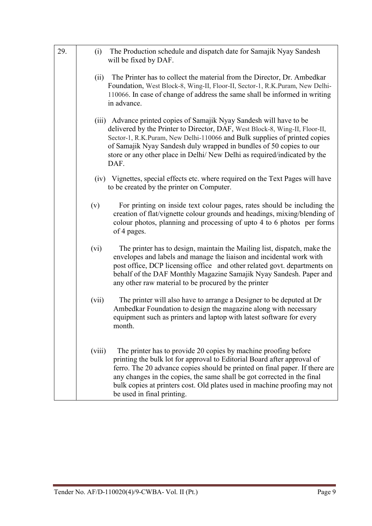| 29. | The Production schedule and dispatch date for Samajik Nyay Sandesh<br>(i)<br>will be fixed by DAF.                                                                                                                                                                                                                                                                                                                        |
|-----|---------------------------------------------------------------------------------------------------------------------------------------------------------------------------------------------------------------------------------------------------------------------------------------------------------------------------------------------------------------------------------------------------------------------------|
|     | The Printer has to collect the material from the Director, Dr. Ambedkar<br>(ii)<br>Foundation, West Block-8, Wing-II, Floor-II, Sector-1, R.K.Puram, New Delhi-<br>110066. In case of change of address the same shall be informed in writing<br>in advance.                                                                                                                                                              |
|     | (iii) Advance printed copies of Samajik Nyay Sandesh will have to be<br>delivered by the Printer to Director, DAF, West Block-8, Wing-II, Floor-II,<br>Sector-1, R.K.Puram, New Delhi-110066 and Bulk supplies of printed copies<br>of Samajik Nyay Sandesh duly wrapped in bundles of 50 copies to our<br>store or any other place in Delhi/ New Delhi as required/indicated by the<br>DAF.                              |
|     | (iv) Vignettes, special effects etc. where required on the Text Pages will have<br>to be created by the printer on Computer.                                                                                                                                                                                                                                                                                              |
|     | (v)<br>For printing on inside text colour pages, rates should be including the<br>creation of flat/vignette colour grounds and headings, mixing/blending of<br>colour photos, planning and processing of upto 4 to 6 photos per forms<br>of 4 pages.                                                                                                                                                                      |
|     | (vi)<br>The printer has to design, maintain the Mailing list, dispatch, make the<br>envelopes and labels and manage the liaison and incidental work with<br>post office, DCP licensing office and other related govt. departments on<br>behalf of the DAF Monthly Magazine Samajik Nyay Sandesh. Paper and<br>any other raw material to be procured by the printer                                                        |
|     | (vii)<br>The printer will also have to arrange a Designer to be deputed at Dr<br>Ambedkar Foundation to design the magazine along with necessary<br>equipment such as printers and laptop with latest software for every<br>month.                                                                                                                                                                                        |
|     | The printer has to provide 20 copies by machine proofing before<br>(viii)<br>printing the bulk lot for approval to Editorial Board after approval of<br>ferro. The 20 advance copies should be printed on final paper. If there are<br>any changes in the copies, the same shall be got corrected in the final<br>bulk copies at printers cost. Old plates used in machine proofing may not<br>be used in final printing. |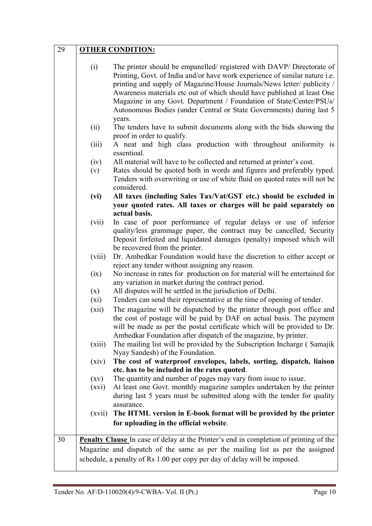| 29 |                    | <b>OTHER CONDITION:</b>                                                                                                                                                                                                                                                                                                                                                                                                                                              |
|----|--------------------|----------------------------------------------------------------------------------------------------------------------------------------------------------------------------------------------------------------------------------------------------------------------------------------------------------------------------------------------------------------------------------------------------------------------------------------------------------------------|
|    | (i)                | The printer should be empanelled/ registered with DAVP/ Directorate of<br>Printing, Govt. of India and/or have work experience of similar nature i.e.<br>printing and supply of Magazine/House Journals/News letter/ publicity /<br>Awareness materials etc out of which should have published at least One<br>Magazine in any Govt. Department / Foundation of State/Center/PSUs/<br>Autonomous Bodies (under Central or State Governments) during last 5<br>years. |
|    | (ii)               | The tenders have to submit documents along with the bids showing the<br>proof in order to qualify.                                                                                                                                                                                                                                                                                                                                                                   |
|    | (iii)              | A neat and high class production with throughout uniformity is<br>essentioal.                                                                                                                                                                                                                                                                                                                                                                                        |
|    | (iv)<br>(v)        | All material will have to be collected and returned at printer's cost.<br>Rates should be quoted both in words and figures and preferably typed.<br>Tenders with overwriting or use of white fluid on quoted rates will not be<br>considered.                                                                                                                                                                                                                        |
|    | (vi)               | All taxes (including Sales Tax/Vat/GST etc.) should be excluded in<br>your quoted rates. All taxes or charges will be paid separately on<br>actual basis.                                                                                                                                                                                                                                                                                                            |
|    | (vii)              | In case of poor performance of regular delays or use of inferior<br>quality/less grammage paper, the contract may be cancelled, Security<br>Deposit forfeited and liquidated damages (penalty) imposed which will<br>be recovered from the printer.                                                                                                                                                                                                                  |
|    | (viii)             | Dr. Ambedkar Foundation would have the discretion to either accept or<br>reject any tender without assigning any reason.                                                                                                                                                                                                                                                                                                                                             |
|    | (ix)               | No increase in rates for production on for material will be entertained for<br>any variation in market during the contract period.                                                                                                                                                                                                                                                                                                                                   |
|    | (x)                | All disputes will be settled in the jurisdiction of Delhi.                                                                                                                                                                                                                                                                                                                                                                                                           |
|    | $(x_i)$            | Tenders can send their representative at the time of opening of tender.                                                                                                                                                                                                                                                                                                                                                                                              |
|    | (xii)              | The magazine will be dispatched by the printer through post office and<br>the cost of postage will be paid by DAF on actual basis. The payment<br>will be made as per the postal certificate which will be provided to Dr.<br>Ambedkar Foundation after dispatch of the magazine, by printer.                                                                                                                                                                        |
|    | (xiii)             | The mailing list will be provided by the Subscription Incharge (Samajik<br>Nyay Sandesh) of the Foundation.                                                                                                                                                                                                                                                                                                                                                          |
|    | (xiv)              | The cost of waterproof envelopes, labels, sorting, dispatch, liaison                                                                                                                                                                                                                                                                                                                                                                                                 |
|    | $\left( xy\right)$ | etc. has to be included in the rates quoted.<br>The quantity and number of pages may vary from issue to issue.                                                                                                                                                                                                                                                                                                                                                       |
|    | (xvi)              | At least one Govt. monthly magazine samples undertaken by the printer                                                                                                                                                                                                                                                                                                                                                                                                |
|    |                    | during last 5 years must be submitted along with the tender for quality<br>assurance.                                                                                                                                                                                                                                                                                                                                                                                |
|    | (xvii)             | The HTML version in E-book format will be provided by the printer<br>for uploading in the official website.                                                                                                                                                                                                                                                                                                                                                          |
| 30 |                    | <b>Penalty Clause</b> In case of delay at the Printer's end in completion of printing of the<br>Magazine and dispatch of the same as per the mailing list as per the assigned<br>schedule, a penalty of Rs 1.00 per copy per day of delay will be imposed.                                                                                                                                                                                                           |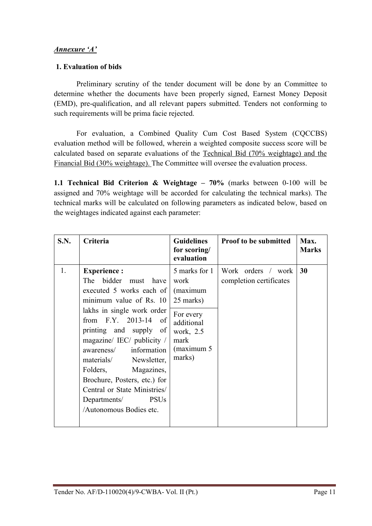#### *Annexure 'A'*

#### 1. Evaluation of bids

Preliminary scrutiny of the tender document will be done by an Committee to determine whether the documents have been properly signed, Earnest Money Deposit (EMD), pre-qualification, and all relevant papers submitted. Tenders not conforming to such requirements will be prima facie rejected.

For evaluation, a Combined Quality Cum Cost Based System (CQCCBS) evaluation method will be followed, wherein a weighted composite success score will be calculated based on separate evaluations of the Technical Bid (70% weightage) and the Financial Bid (30% weightage). The Committee will oversee the evaluation process.

1.1 Technical Bid Criterion & Weightage –  $70\%$  (marks between 0-100 will be assigned and 70% weightage will be accorded for calculating the technical marks). The technical marks will be calculated on following parameters as indicated below, based on the weightages indicated against each parameter:

| <b>S.N.</b> | Criteria                                                                                                                                                                                                                                                                                                                                                                                                                       | <b>Guidelines</b><br>for scoring/<br>evaluation                                                                         | Proof to be submitted                         | Max.<br><b>Marks</b> |
|-------------|--------------------------------------------------------------------------------------------------------------------------------------------------------------------------------------------------------------------------------------------------------------------------------------------------------------------------------------------------------------------------------------------------------------------------------|-------------------------------------------------------------------------------------------------------------------------|-----------------------------------------------|----------------------|
| 1.          | <b>Experience:</b><br>The bidder<br>must have<br>executed 5 works each of<br>minimum value of Rs. 10<br>lakhs in single work order<br>from $F.Y. 2013-14$ of<br>printing and supply of<br>magazine/ IEC/ publicity /<br>awareness/ information<br>materials/<br>Newsletter,<br>Folders,<br>Magazines,<br>Brochure, Posters, etc.) for<br>Central or State Ministries/<br><b>PSUs</b><br>Departments/<br>Autonomous Bodies etc. | 5 marks for 1<br>work<br>(maximum<br>25 marks)<br>For every<br>additional<br>work, 2.5<br>mark<br>(maximum 5)<br>marks) | Work orders / work<br>completion certificates | 30                   |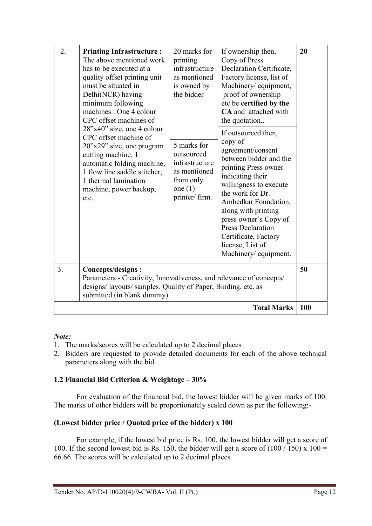| 2. | <b>Printing Infrastructure:</b><br>The above mentioned work<br>has to be executed at a<br>quality offset printing unit<br>must be situated in<br>Delhi(NCR) having<br>minimum following<br>machines : One 4 colour<br>CPC offset machines of<br>28"x40" size, one 4 colour<br>CPC offset machine of<br>20"x29" size, one program<br>cutting machine, 1<br>automatic folding machine,<br>1 flow line saddle stitcher,<br>1 thermal lamination<br>machine, power backup,<br>etc. | 20 marks for<br>printing<br>infrastructure<br>as mentioned<br>is owned by<br>the bidder<br>5 marks for<br>outsourced<br>infrastructure<br>as mentioned<br>from only<br>one $(1)$<br>printer/ firm. | If ownership then,<br>Copy of Press<br>Declaration Certificate,<br>Factory license, list of<br>Machinery/ equipment,<br>proof of ownership<br>etc be certified by the<br>CA and attached with<br>the quotation.<br>If outsourced then,<br>copy of<br>agreement/consent<br>between bidder and the<br>printing Press owner<br>indicating their<br>willingness to execute<br>the work for Dr.<br>Ambedkar Foundation,<br>along with printing<br>press owner's Copy of<br><b>Press Declaration</b><br>Certificate, Factory<br>license, List of<br>Machinery/ equipment. | 20  |
|----|--------------------------------------------------------------------------------------------------------------------------------------------------------------------------------------------------------------------------------------------------------------------------------------------------------------------------------------------------------------------------------------------------------------------------------------------------------------------------------|----------------------------------------------------------------------------------------------------------------------------------------------------------------------------------------------------|---------------------------------------------------------------------------------------------------------------------------------------------------------------------------------------------------------------------------------------------------------------------------------------------------------------------------------------------------------------------------------------------------------------------------------------------------------------------------------------------------------------------------------------------------------------------|-----|
| 3. | Concepts/designs:<br>Parameters - Creativity, Innovativeness, and relevance of concepts/<br>designs/ layouts/ samples. Quality of Paper, Binding, etc. as<br>submitted (in blank dummy).                                                                                                                                                                                                                                                                                       |                                                                                                                                                                                                    |                                                                                                                                                                                                                                                                                                                                                                                                                                                                                                                                                                     | 50  |
|    |                                                                                                                                                                                                                                                                                                                                                                                                                                                                                |                                                                                                                                                                                                    | <b>Total Marks</b>                                                                                                                                                                                                                                                                                                                                                                                                                                                                                                                                                  | 100 |

#### *Note:*

- 1. The marks/scores will be calculated up to 2 decimal places
- 2. Bidders are requested to provide detailed documents for each of the above technical parameters along with the bid.

#### 1.2 Financial Bid Criterion & Weightage – 30%

For evaluation of the financial bid, the lowest bidder will be given marks of 100. The marks of other bidders will be proportionately scaled down as per the following:-

#### (Lowest bidder price / Quoted price of the bidder) x 100

For example, if the lowest bid price is Rs. 100, the lowest bidder will get a score of 100. If the second lowest bid is Rs. 150, the bidder will get a score of  $(100/150)$  x  $100 =$ 66.66. The scores will be calculated up to 2 decimal places.